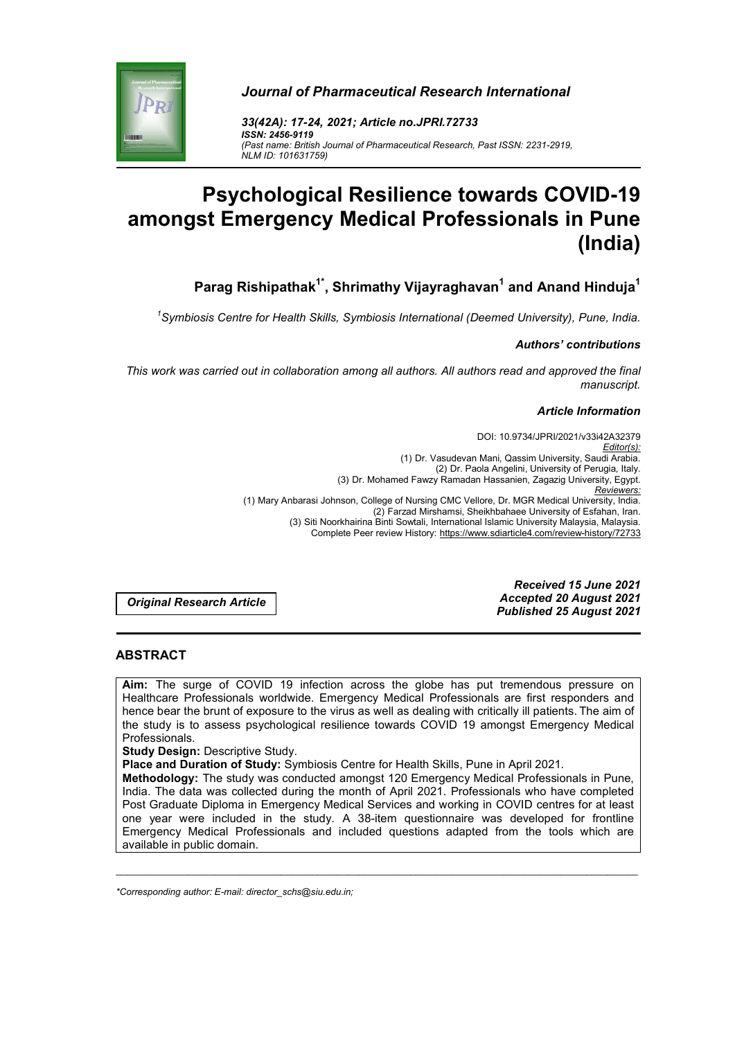

*Journal of Pharmaceutical Research International*

*33(42A): 17-24, 2021; Article no.JPRI.72733 ISSN: 2456-9119 (Past name: British Journal of Pharmaceutical Research, Past ISSN: 2231-2919, NLM ID: 101631759)*

# **Psychological Resilience towards COVID-19 amongst Emergency Medical Professionals in Pune (India)**

**Parag Rishipathak1\* , Shrimathy Vijayraghavan1 and Anand Hinduja1**

*1 Symbiosis Centre for Health Skills, Symbiosis International (Deemed University), Pune, India.*

# *Authors' contributions*

*This work was carried out in collaboration among all authors. All authors read and approved the final manuscript.*

#### *Article Information*

DOI: 10.9734/JPRI/2021/v33i42A32379 *Editor(s):* (1) Dr. Vasudevan Mani, Qassim University, Saudi Arabia. (2) Dr. Paola Angelini, University of Perugia, Italy. (3) Dr. Mohamed Fawzy Ramadan Hassanien, Zagazig University, Egypt. *Reviewers:* (1) Mary Anbarasi Johnson, College of Nursing CMC Vellore, Dr. MGR Medical University, India. (2) Farzad Mirshamsi, Sheikhbahaee University of Esfahan, Iran. (3) Siti Noorkhairina Binti Sowtali, International Islamic University Malaysia, Malaysia. Complete Peer review History: https://www.sdiarticle4.com/review-history/72733

*Original Research Article*

*Received 15 June 2021 Accepted 20 August 2021 Published 25 August 2021*

# **ABSTRACT**

**Aim:** The surge of COVID 19 infection across the globe has put tremendous pressure on Healthcare Professionals worldwide. Emergency Medical Professionals are first responders and hence bear the brunt of exposure to the virus as well as dealing with critically ill patients. The aim of the study is to assess psychological resilience towards COVID 19 amongst Emergency Medical Professionals.

**Study Design:** Descriptive Study.

**Place and Duration of Study:** Symbiosis Centre for Health Skills, Pune in April 2021.

**Methodology:** The study was conducted amongst 120 Emergency Medical Professionals in Pune, India. The data was collected during the month of April 2021. Professionals who have completed Post Graduate Diploma in Emergency Medical Services and working in COVID centres for at least one year were included in the study. A 38-item questionnaire was developed for frontline Emergency Medical Professionals and included questions adapted from the tools which are available in public domain.

\_\_\_\_\_\_\_\_\_\_\_\_\_\_\_\_\_\_\_\_\_\_\_\_\_\_\_\_\_\_\_\_\_\_\_\_\_\_\_\_\_\_\_\_\_\_\_\_\_\_\_\_\_\_\_\_\_\_\_\_\_\_\_\_\_\_\_\_\_\_\_\_\_\_\_\_\_\_\_\_\_\_\_\_\_\_\_\_\_\_\_\_\_\_\_\_\_\_\_\_\_

*\*Corresponding author: E-mail: director\_schs@siu.edu.in;*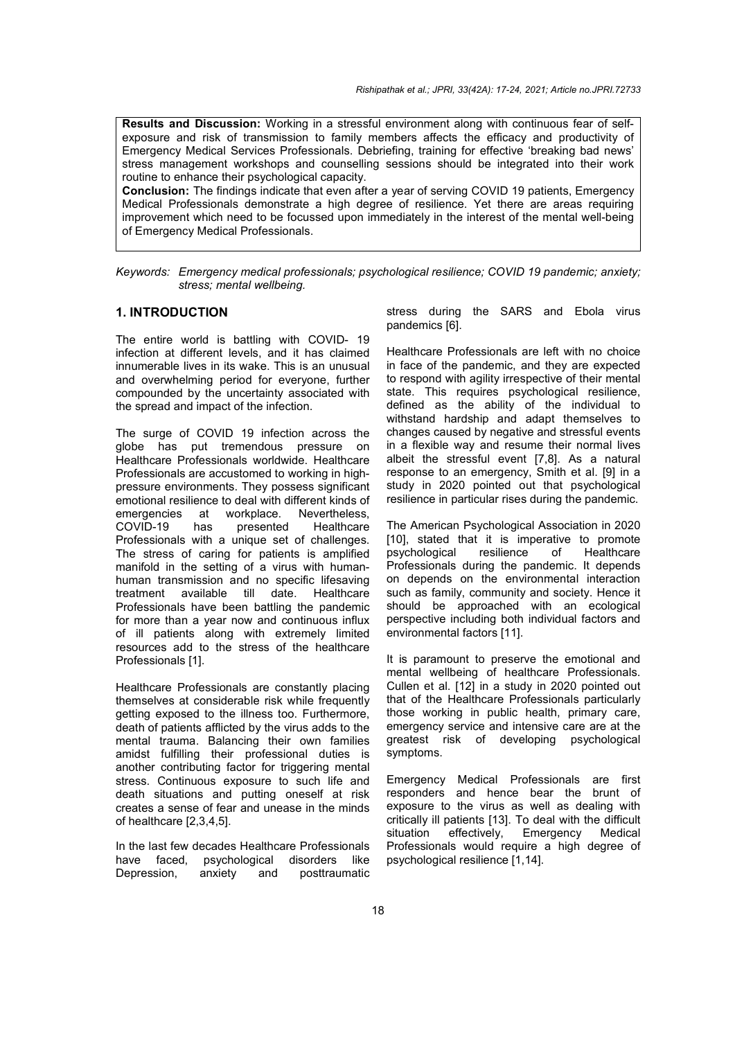**Results and Discussion:** Working in a stressful environment along with continuous fear of selfexposure and risk of transmission to family members affects the efficacy and productivity of Emergency Medical Services Professionals. Debriefing, training for effective 'breaking bad news' stress management workshops and counselling sessions should be integrated into their work routine to enhance their psychological capacity.

**Conclusion:** The findings indicate that even after a year of serving COVID 19 patients, Emergency Medical Professionals demonstrate a high degree of resilience. Yet there are areas requiring improvement which need to be focussed upon immediately in the interest of the mental well-being of Emergency Medical Professionals.

### **1. INTRODUCTION**

The entire world is battling with COVID- 19 infection at different levels, and it has claimed innumerable lives in its wake. This is an unusual and overwhelming period for everyone, further compounded by the uncertainty associated with the spread and impact of the infection.

The surge of COVID 19 infection across the globe has put tremendous pressure on Healthcare Professionals worldwide. Healthcare Professionals are accustomed to working in highpressure environments. They possess significant emotional resilience to deal with different kinds of<br>emergencies at workplace. Nevertheless. at workplace. COVID-19 has presented Healthcare Professionals with a unique set of challenges. The stress of caring for patients is amplified manifold in the setting of a virus with humanhuman transmission and no specific lifesaving treatment available till date. Healthcare Professionals have been battling the pandemic for more than a year now and continuous influx of ill patients along with extremely limited resources add to the stress of the healthcare Professionals [1].

Healthcare Professionals are constantly placing themselves at considerable risk while frequently getting exposed to the illness too. Furthermore, death of patients afflicted by the virus adds to the mental trauma. Balancing their own families amidst fulfilling their professional duties is another contributing factor for triggering mental stress. Continuous exposure to such life and death situations and putting oneself at risk creates a sense of fear and unease in the minds of healthcare [2,3,4,5].

In the last few decades Healthcare Professionals have faced, psychological disorders like Depression, anxiety and posttraumatic stress during the SARS and Ebola virus pandemics [6].

Healthcare Professionals are left with no choice in face of the pandemic, and they are expected to respond with agility irrespective of their mental state. This requires psychological resilience, defined as the ability of the individual to withstand hardship and adapt themselves to changes caused by negative and stressful events in a flexible way and resume their normal lives albeit the stressful event [7,8]. As a natural response to an emergency, Smith et al. [9] in a study in 2020 pointed out that psychological resilience in particular rises during the pandemic.

The American Psychological Association in 2020 [10], stated that it is imperative to promote<br>psychological resilience of Healthcare psychological Professionals during the pandemic. It depends on depends on the environmental interaction such as family, community and society. Hence it should be approached with an ecological perspective including both individual factors and environmental factors [11].

It is paramount to preserve the emotional and mental wellbeing of healthcare Professionals. Cullen et al. [12] in a study in 2020 pointed out that of the Healthcare Professionals particularly those working in public health, primary care, emergency service and intensive care are at the greatest risk of developing psychological symptoms.

Emergency Medical Professionals are first responders and hence bear the brunt of exposure to the virus as well as dealing with critically ill patients [13]. To deal with the difficult situation effectively, Emergency Medical Professionals would require a high degree of psychological resilience [1,14].

*Keywords: Emergency medical professionals; psychological resilience; COVID 19 pandemic; anxiety; stress; mental wellbeing.*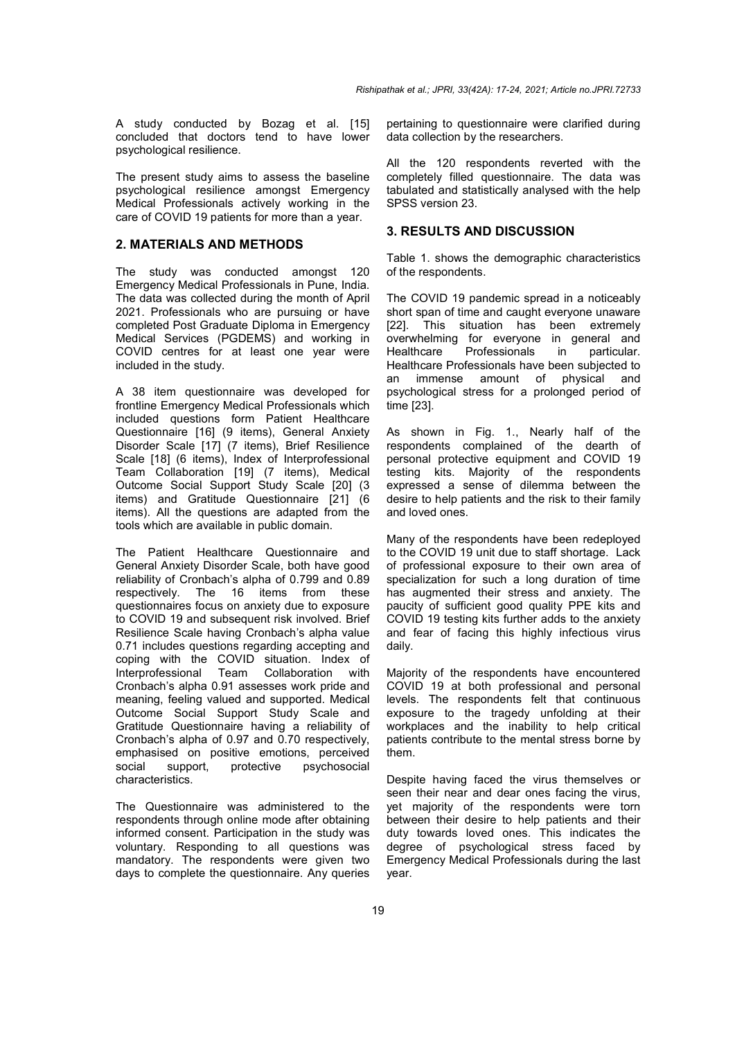A study conducted by Bozag et al. [15] concluded that doctors tend to have lower psychological resilience.

The present study aims to assess the baseline psychological resilience amongst Emergency Medical Professionals actively working in the care of COVID 19 patients for more than a year.

#### **2. MATERIALS AND METHODS**

The study was conducted amongst 120 Emergency Medical Professionals in Pune, India. The data was collected during the month of April 2021. Professionals who are pursuing or have completed Post Graduate Diploma in Emergency Medical Services (PGDEMS) and working in COVID centres for at least one year were included in the study.

A 38 item questionnaire was developed for frontline Emergency Medical Professionals which included questions form Patient Healthcare Questionnaire [16] (9 items), General Anxiety Disorder Scale [17] (7 items), Brief Resilience Scale [18] (6 items), Index of Interprofessional Team Collaboration [19] (7 items), Medical Outcome Social Support Study Scale [20] (3 items) and Gratitude Questionnaire [21] (6 items). All the questions are adapted from the tools which are available in public domain.

The Patient Healthcare Questionnaire and General Anxiety Disorder Scale, both have good reliability of Cronbach's alpha of 0.799 and 0.89 respectively. The 16 items from these questionnaires focus on anxiety due to exposure to COVID 19 and subsequent risk involved. Brief Resilience Scale having Cronbach's alpha value 0.71 includes questions regarding accepting and coping with the COVID situation. Index of<br>Interprofessional Team Collaboration with Interprofessional Team Collaboration with Cronbach's alpha 0.91 assesses work pride and meaning, feeling valued and supported. Medical Outcome Social Support Study Scale and Gratitude Questionnaire having a reliability of Cronbach's alpha of 0.97 and 0.70 respectively, emphasised on positive emotions, perceived social support, protective psychosocial characteristics.

The Questionnaire was administered to the respondents through online mode after obtaining informed consent. Participation in the study was voluntary. Responding to all questions was mandatory. The respondents were given two days to complete the questionnaire. Any queries

pertaining to questionnaire were clarified during data collection by the researchers.

All the 120 respondents reverted with the completely filled questionnaire. The data was tabulated and statistically analysed with the help SPSS version 23.

#### **3. RESULTS AND DISCUSSION**

Table 1. shows the demographic characteristics of the respondents.

The COVID 19 pandemic spread in a noticeably short span of time and caught everyone unaware [22]. This situation has been extremely overwhelming for everyone in general and Healthcare Professionals in particular. Healthcare Professionals have been subjected to an immense amount of physical and psychological stress for a prolonged period of time [23].

As shown in Fig. 1., Nearly half of the respondents complained of the dearth of personal protective equipment and COVID 19 testing kits. Majority of the respondents expressed a sense of dilemma between the desire to help patients and the risk to their family and loved ones.

Many of the respondents have been redeployed to the COVID 19 unit due to staff shortage. Lack of professional exposure to their own area of specialization for such a long duration of time has augmented their stress and anxiety. The paucity of sufficient good quality PPE kits and COVID 19 testing kits further adds to the anxiety and fear of facing this highly infectious virus daily.

Majority of the respondents have encountered COVID 19 at both professional and personal levels. The respondents felt that continuous exposure to the tragedy unfolding at their workplaces and the inability to help critical patients contribute to the mental stress borne by them.

Despite having faced the virus themselves or seen their near and dear ones facing the virus, yet majority of the respondents were torn between their desire to help patients and their duty towards loved ones. This indicates the degree of psychological stress faced by Emergency Medical Professionals during the last year.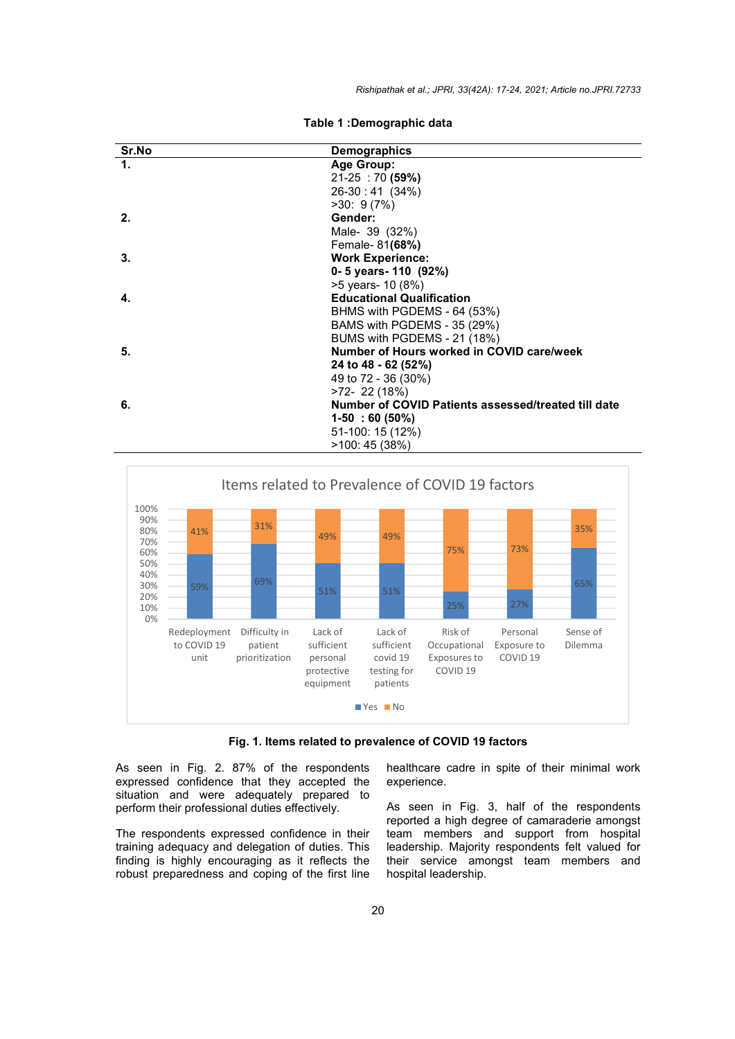| Sr.No          | <b>Demographics</b>                                 |
|----------------|-----------------------------------------------------|
| $\mathbf{1}$ . | Age Group:                                          |
|                | $21-25$ : 70 (59%)                                  |
|                | $26-30:41(34%)$                                     |
|                | >30:9(7%)                                           |
| 2.             | Gender:                                             |
|                | Male- 39 (32%)                                      |
|                | Female- 81(68%)                                     |
| 3.             | <b>Work Experience:</b>                             |
|                | 0- 5 years - 110 $(92%)$                            |
|                | >5 years- 10 (8%)                                   |
| 4.             | <b>Educational Qualification</b>                    |
|                | BHMS with PGDEMS - 64 (53%)                         |
|                | BAMS with PGDEMS - 35 (29%)                         |
|                | BUMS with PGDEMS - 21 (18%)                         |
| 5.             | Number of Hours worked in COVID care/week           |
|                | 24 to 48 - 62 (52%)                                 |
|                | 49 to 72 - 36 (30%)                                 |
|                | >72-22 (18%)                                        |
| 6.             | Number of COVID Patients assessed/treated till date |
|                | $1-50:60(50\%)$                                     |
|                | 51-100: 15 (12%)                                    |
|                | >100: 45 (38%)                                      |





**Fig. 1. Items related to prevalence of COVID 19 factors**

As seen in Fig. 2. 87% of the respondents expressed confidence that they accepted the situation and were adequately prepared to perform their professional duties effectively.

The respondents expressed confidence in their training adequacy and delegation of duties. This finding is highly encouraging as it reflects the robust preparedness and coping of the first line

healthcare cadre in spite of their minimal work experience.

As seen in Fig. 3, half of the respondents reported a high degree of camaraderie amongst team members and support from hospital leadership. Majority respondents felt valued for their service amongst team members and hospital leadership.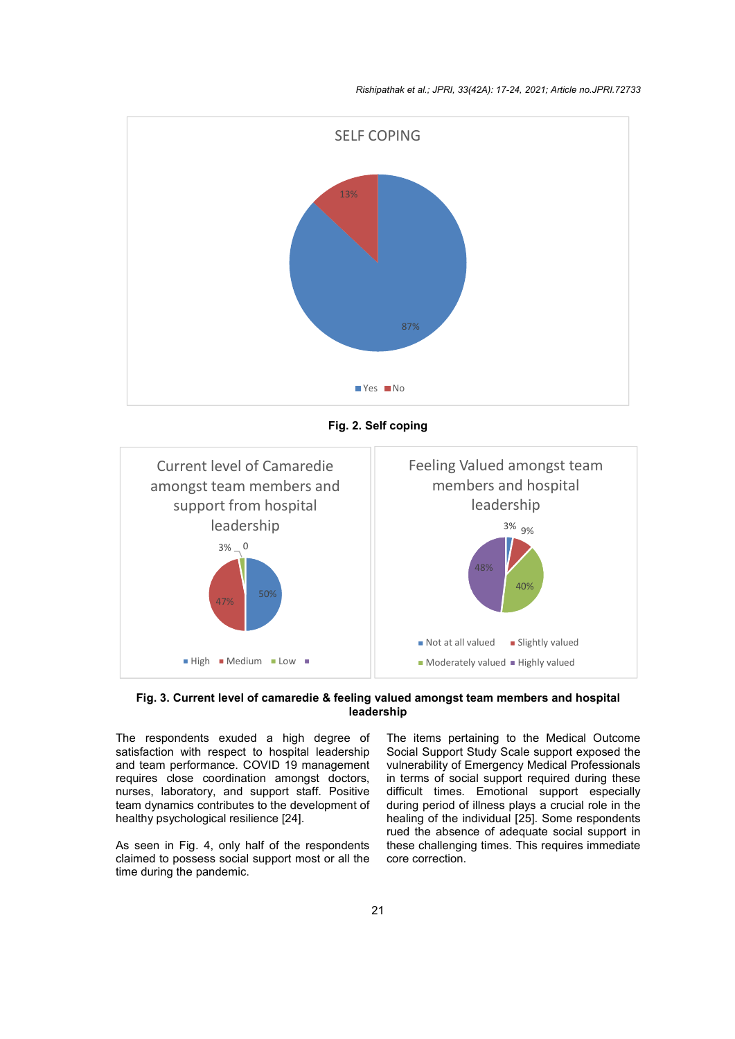*Rishipathak et al.; JPRI, 33(42A): 17-24, 2021; Article no.JPRI.72733*



**Fig. 2. Self coping**



**Fig. 3. Current level of camaredie & feeling valued amongst team members and hospital leadership**

The respondents exuded a high degree of satisfaction with respect to hospital leadership and team performance. COVID 19 management requires close coordination amongst doctors, nurses, laboratory, and support staff. Positive team dynamics contributes to the development of healthy psychological resilience [24].

As seen in Fig. 4, only half of the respondents claimed to possess social support most or all the time during the pandemic.

The items pertaining to the Medical Outcome Social Support Study Scale support exposed the vulnerability of Emergency Medical Professionals in terms of social support required during these difficult times. Emotional support especially during period of illness plays a crucial role in the healing of the individual [25]. Some respondents rued the absence of adequate social support in these challenging times. This requires immediate core correction.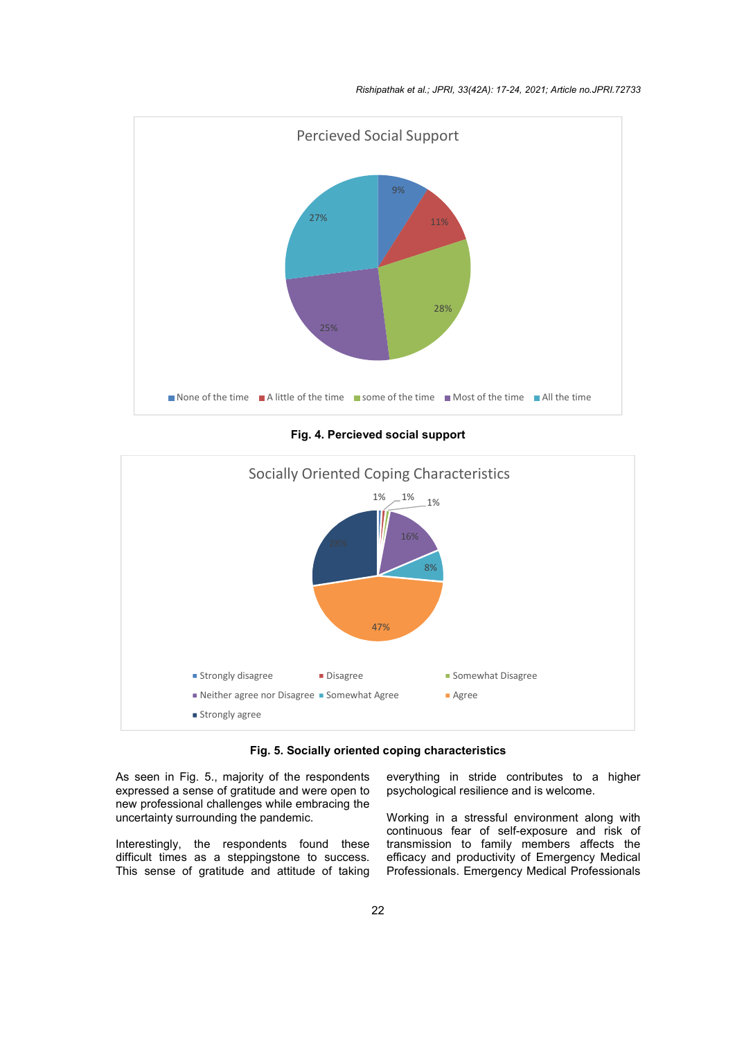

**Fig. 4. Percieved social support**



**Fig. 5. Socially oriented coping characteristics**

As seen in Fig. 5., majority of the respondents expressed a sense of gratitude and were open to new professional challenges while embracing the uncertainty surrounding the pandemic.

Interestingly, the respondents found these difficult times as a steppingstone to success. This sense of gratitude and attitude of taking

everything in stride contributes to a higher psychological resilience and is welcome.

Working in a stressful environment along with continuous fear of self-exposure and risk of transmission to family members affects the efficacy and productivity of Emergency Medical Professionals. Emergency Medical Professionals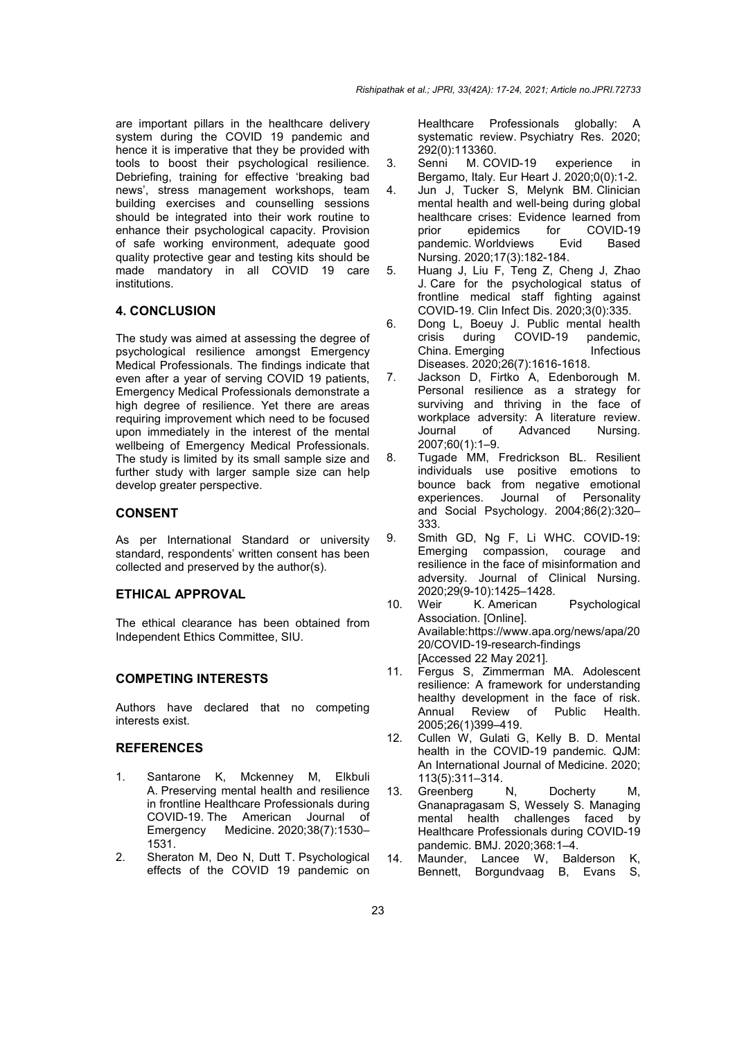are important pillars in the healthcare delivery system during the COVID 19 pandemic and hence it is imperative that they be provided with tools to boost their psychological resilience. Debriefing, training for effective 'breaking bad news', stress management workshops, team building exercises and counselling sessions should be integrated into their work routine to enhance their psychological capacity. Provision of safe working environment, adequate good quality protective gear and testing kits should be made mandatory in all COVID 19 care institutions.

# **4. CONCLUSION**

The study was aimed at assessing the degree of psychological resilience amongst Emergency Medical Professionals. The findings indicate that even after a year of serving COVID 19 patients, Emergency Medical Professionals demonstrate a high degree of resilience. Yet there are areas requiring improvement which need to be focused upon immediately in the interest of the mental wellbeing of Emergency Medical Professionals. The study is limited by its small sample size and further study with larger sample size can help develop greater perspective.

#### **CONSENT**

As per International Standard or university standard, respondents' written consent has been collected and preserved by the author(s).

#### **ETHICAL APPROVAL**

The ethical clearance has been obtained from Independent Ethics Committee, SIU.

# **COMPETING INTERESTS**

Authors have declared that no competing interests exist.

# **REFERENCES**

- 1. Santarone K, Mckenney M, Elkbuli A. Preserving mental health and resilience in frontline Healthcare Professionals during COVID-19. The American Journal of Emergency Medicine. 2020;38(7):1530– 1531.
- 2. Sheraton M, Deo N, Dutt T. Psychological effects of the COVID 19 pandemic on

Healthcare Professionals globally: A systematic review. Psychiatry Res. 2020; 292(0):113360.

- 3. Senni M. COVID-19 experience in Bergamo, Italy. Eur Heart J. 2020;0(0):1-2.
- 4. Jun J, Tucker S, Melynk BM. Clinician mental health and well-being during global healthcare crises: Evidence learned from<br>prior epidemics for COVID-19 epidemics for COVID-19<br>
2. Worldviews Evid Based pandemic. Worldviews Evid Nursing. 2020;17(3):182-184.
- 5. Huang J, Liu F, Teng Z, Cheng J, Zhao J. Care for the psychological status of frontline medical staff fighting against COVID-19. Clin Infect Dis. 2020;3(0):335.
- 6. Dong L, Boeuy J. Public mental health crisis during COVID-19 pandemic,<br>China Emerging buffectious China. Emerging Diseases. 2020;26(7):1616-1618.
- 7. Jackson D, Firtko A, Edenborough M. Personal resilience as a strategy for surviving and thriving in the face of workplace adversity: A literature review. Journal of Advanced Nursing. 2007;60(1):1–9.
- 8. Tugade MM, Fredrickson BL. Resilient individuals use positive emotions to bounce back from negative emotional experiences. Journal of Personality and Social Psychology. 2004;86(2):320– 333.
- 9. Smith GD, Ng F, Li WHC. COVID-19: Emerging compassion, courage and resilience in the face of misinformation and adversity. Journal of Clinical Nursing. 2020;29(9-10):1425–1428.
- 10. Weir K. American Psychological Association. [Online]. Available:https://www.apa.org/news/apa/20 20/COVID-19-research-findings [Accessed 22 May 2021].
- 11. Fergus S, Zimmerman MA. Adolescent resilience: A framework for understanding healthy development in the face of risk. Annual Review of Public Health. 2005;26(1)399–419.
- 12. Cullen W, Gulati G, Kelly B. D. Mental health in the COVID-19 pandemic. QJM: An International Journal of Medicine. 2020; 113(5):311–314.
- 13. Greenberg N, Docherty M, Gnanapragasam S, Wessely S. Managing mental health challenges faced by Healthcare Professionals during COVID-19 pandemic. BMJ. 2020;368:1–4.
- 14. Maunder, Lancee W, Balderson K, Bennett, Borgundvaag B, Evans S,